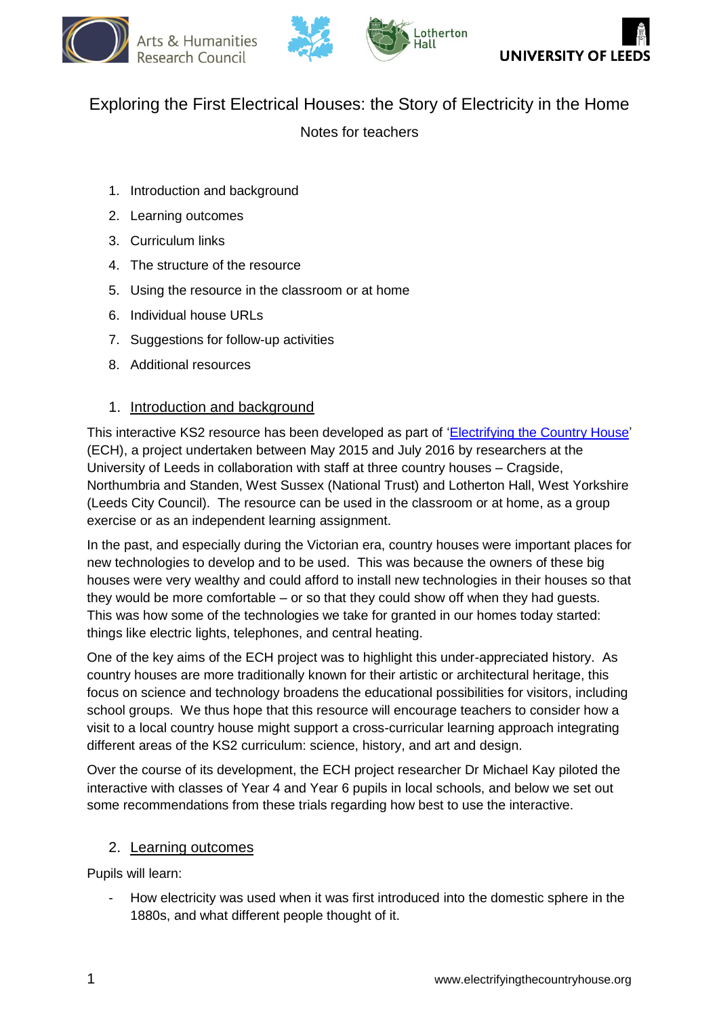







# Exploring the First Electrical Houses: the Story of Electricity in the Home

Notes for teachers

- 1. Introduction and background
- 2. Learning outcomes
- 3. Curriculum links
- 4. The structure of the resource
- 5. Using the resource in the classroom or at home
- 6. Individual house URLs
- 7. Suggestions for follow-up activities
- 8. Additional resources

## 1. Introduction and background

This interactive KS2 resource has been developed as part of ['Electrifying the Country House'](http://www.electrifyingthecountryhouse.org/) (ECH), a project undertaken between May 2015 and July 2016 by researchers at the University of Leeds in collaboration with staff at three country houses – Cragside, Northumbria and Standen, West Sussex (National Trust) and Lotherton Hall, West Yorkshire (Leeds City Council). The resource can be used in the classroom or at home, as a group exercise or as an independent learning assignment.

In the past, and especially during the Victorian era, country houses were important places for new technologies to develop and to be used. This was because the owners of these big houses were very wealthy and could afford to install new technologies in their houses so that they would be more comfortable – or so that they could show off when they had guests. This was how some of the technologies we take for granted in our homes today started: things like electric lights, telephones, and central heating.

One of the key aims of the ECH project was to highlight this under-appreciated history. As country houses are more traditionally known for their artistic or architectural heritage, this focus on science and technology broadens the educational possibilities for visitors, including school groups. We thus hope that this resource will encourage teachers to consider how a visit to a local country house might support a cross-curricular learning approach integrating different areas of the KS2 curriculum: science, history, and art and design.

Over the course of its development, the ECH project researcher Dr Michael Kay piloted the interactive with classes of Year 4 and Year 6 pupils in local schools, and below we set out some recommendations from these trials regarding how best to use the interactive.

## 2. Learning outcomes

Pupils will learn:

How electricity was used when it was first introduced into the domestic sphere in the 1880s, and what different people thought of it.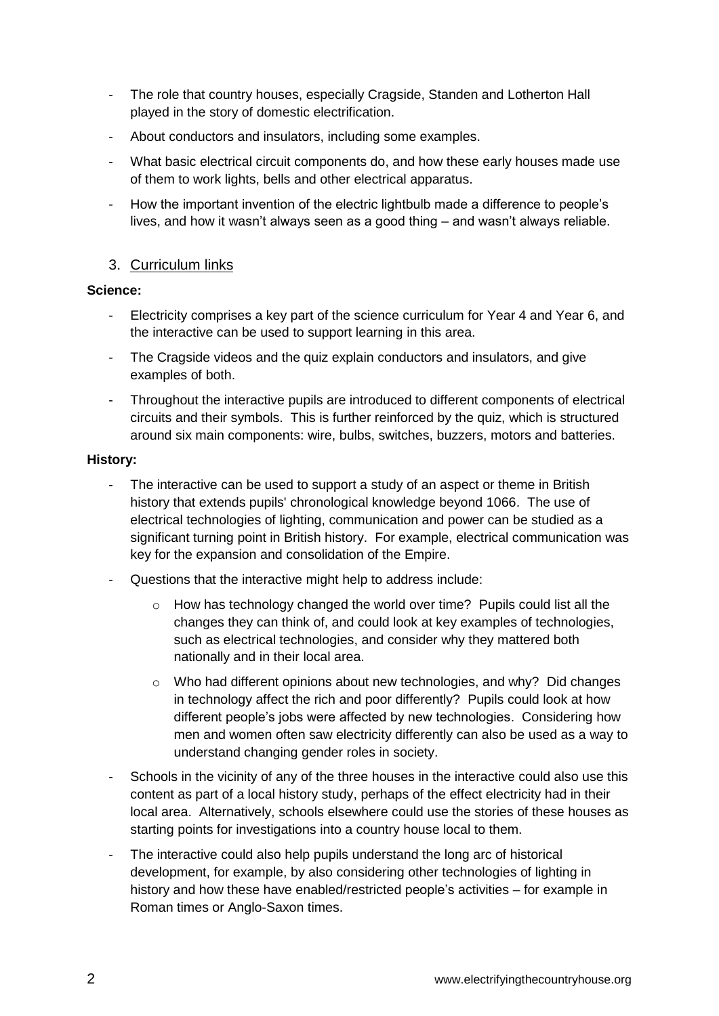- The role that country houses, especially Cragside, Standen and Lotherton Hall played in the story of domestic electrification.
- About conductors and insulators, including some examples.
- What basic electrical circuit components do, and how these early houses made use of them to work lights, bells and other electrical apparatus.
- How the important invention of the electric lightbulb made a difference to people's lives, and how it wasn't always seen as a good thing – and wasn't always reliable.

# 3. Curriculum links

## **Science:**

- Electricity comprises a key part of the science curriculum for Year 4 and Year 6, and the interactive can be used to support learning in this area.
- The Cragside videos and the quiz explain conductors and insulators, and give examples of both.
- Throughout the interactive pupils are introduced to different components of electrical circuits and their symbols. This is further reinforced by the quiz, which is structured around six main components: wire, bulbs, switches, buzzers, motors and batteries.

## **History:**

- The interactive can be used to support a study of an aspect or theme in British history that extends pupils' chronological knowledge beyond 1066. The use of electrical technologies of lighting, communication and power can be studied as a significant turning point in British history. For example, electrical communication was key for the expansion and consolidation of the Empire.
- Questions that the interactive might help to address include:
	- o How has technology changed the world over time? Pupils could list all the changes they can think of, and could look at key examples of technologies, such as electrical technologies, and consider why they mattered both nationally and in their local area.
	- $\circ$  Who had different opinions about new technologies, and why? Did changes in technology affect the rich and poor differently? Pupils could look at how different people's jobs were affected by new technologies. Considering how men and women often saw electricity differently can also be used as a way to understand changing gender roles in society.
- Schools in the vicinity of any of the three houses in the interactive could also use this content as part of a local history study, perhaps of the effect electricity had in their local area. Alternatively, schools elsewhere could use the stories of these houses as starting points for investigations into a country house local to them.
- The interactive could also help pupils understand the long arc of historical development, for example, by also considering other technologies of lighting in history and how these have enabled/restricted people's activities – for example in Roman times or Anglo-Saxon times.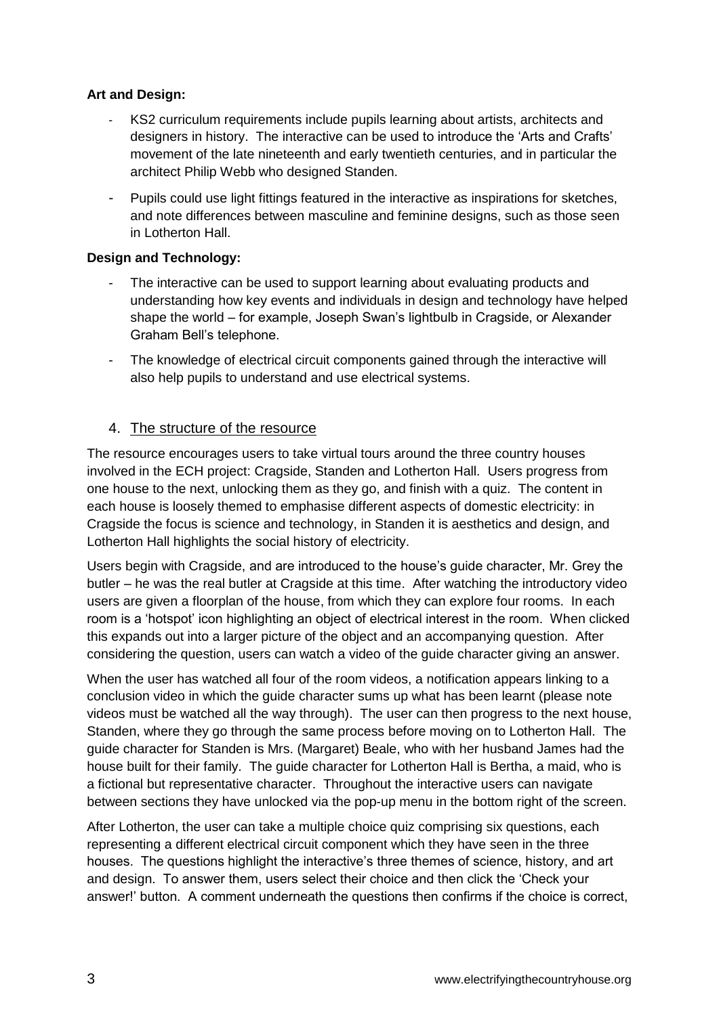## **Art and Design:**

- KS2 curriculum requirements include pupils learning about artists, architects and designers in history. The interactive can be used to introduce the 'Arts and Crafts' movement of the late nineteenth and early twentieth centuries, and in particular the architect Philip Webb who designed Standen.
- Pupils could use light fittings featured in the interactive as inspirations for sketches, and note differences between masculine and feminine designs, such as those seen in Lotherton Hall.

## **Design and Technology:**

- The interactive can be used to support learning about evaluating products and understanding how key events and individuals in design and technology have helped shape the world – for example, Joseph Swan's lightbulb in Cragside, or Alexander Graham Bell's telephone.
- The knowledge of electrical circuit components gained through the interactive will also help pupils to understand and use electrical systems.

# 4. The structure of the resource

The resource encourages users to take virtual tours around the three country houses involved in the ECH project: Cragside, Standen and Lotherton Hall. Users progress from one house to the next, unlocking them as they go, and finish with a quiz. The content in each house is loosely themed to emphasise different aspects of domestic electricity: in Cragside the focus is science and technology, in Standen it is aesthetics and design, and Lotherton Hall highlights the social history of electricity.

Users begin with Cragside, and are introduced to the house's guide character, Mr. Grey the butler – he was the real butler at Cragside at this time. After watching the introductory video users are given a floorplan of the house, from which they can explore four rooms. In each room is a 'hotspot' icon highlighting an object of electrical interest in the room. When clicked this expands out into a larger picture of the object and an accompanying question. After considering the question, users can watch a video of the guide character giving an answer.

When the user has watched all four of the room videos, a notification appears linking to a conclusion video in which the guide character sums up what has been learnt (please note videos must be watched all the way through). The user can then progress to the next house, Standen, where they go through the same process before moving on to Lotherton Hall. The guide character for Standen is Mrs. (Margaret) Beale, who with her husband James had the house built for their family. The guide character for Lotherton Hall is Bertha, a maid, who is a fictional but representative character. Throughout the interactive users can navigate between sections they have unlocked via the pop-up menu in the bottom right of the screen.

After Lotherton, the user can take a multiple choice quiz comprising six questions, each representing a different electrical circuit component which they have seen in the three houses. The questions highlight the interactive's three themes of science, history, and art and design. To answer them, users select their choice and then click the 'Check your answer!' button. A comment underneath the questions then confirms if the choice is correct,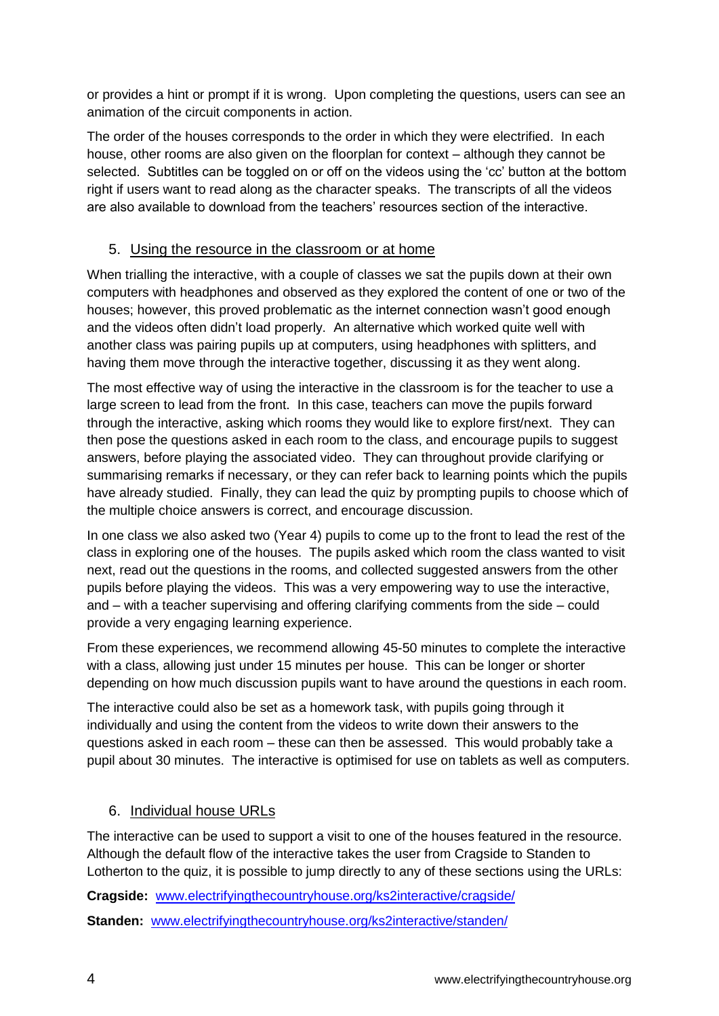or provides a hint or prompt if it is wrong. Upon completing the questions, users can see an animation of the circuit components in action.

The order of the houses corresponds to the order in which they were electrified. In each house, other rooms are also given on the floorplan for context – although they cannot be selected. Subtitles can be toggled on or off on the videos using the 'cc' button at the bottom right if users want to read along as the character speaks. The transcripts of all the videos are also available to download from the teachers' resources section of the interactive.

# 5. Using the resource in the classroom or at home

When trialling the interactive, with a couple of classes we sat the pupils down at their own computers with headphones and observed as they explored the content of one or two of the houses; however, this proved problematic as the internet connection wasn't good enough and the videos often didn't load properly. An alternative which worked quite well with another class was pairing pupils up at computers, using headphones with splitters, and having them move through the interactive together, discussing it as they went along.

The most effective way of using the interactive in the classroom is for the teacher to use a large screen to lead from the front. In this case, teachers can move the pupils forward through the interactive, asking which rooms they would like to explore first/next. They can then pose the questions asked in each room to the class, and encourage pupils to suggest answers, before playing the associated video. They can throughout provide clarifying or summarising remarks if necessary, or they can refer back to learning points which the pupils have already studied. Finally, they can lead the quiz by prompting pupils to choose which of the multiple choice answers is correct, and encourage discussion.

In one class we also asked two (Year 4) pupils to come up to the front to lead the rest of the class in exploring one of the houses. The pupils asked which room the class wanted to visit next, read out the questions in the rooms, and collected suggested answers from the other pupils before playing the videos. This was a very empowering way to use the interactive, and – with a teacher supervising and offering clarifying comments from the side – could provide a very engaging learning experience.

From these experiences, we recommend allowing 45-50 minutes to complete the interactive with a class, allowing just under 15 minutes per house. This can be longer or shorter depending on how much discussion pupils want to have around the questions in each room.

The interactive could also be set as a homework task, with pupils going through it individually and using the content from the videos to write down their answers to the questions asked in each room – these can then be assessed. This would probably take a pupil about 30 minutes. The interactive is optimised for use on tablets as well as computers.

# 6. Individual house URLs

The interactive can be used to support a visit to one of the houses featured in the resource. Although the default flow of the interactive takes the user from Cragside to Standen to Lotherton to the quiz, it is possible to jump directly to any of these sections using the URLs:

**Cragside:** [www.electrifyingthecountryhouse.org/ks2interactive/cragside/](http://www.electrifyingthecountryhouse.org/ks2interactive/cragside/) **Standen:** [www.electrifyingthecountryhouse.org/ks2interactive/standen/](http://www.electrifyingthecountryhouse.org/ks2interactive/standen/standen-floorplan.html)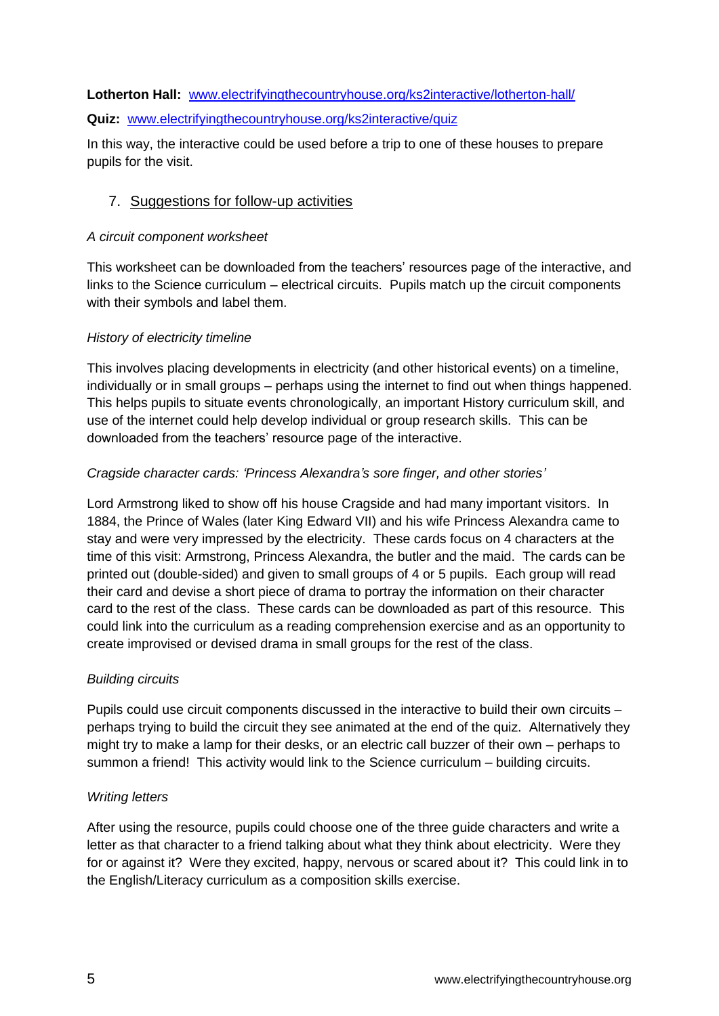#### **Lotherton Hall:** [www.electrifyingthecountryhouse.org/ks2interactive/lotherton-hall/](http://www.electrifyingthecountryhouse.org/ks2interactive/lotherton-hall/lotherton-hall-floorplan.html)

#### **Quiz:** [www.electrifyingthecountryhouse.org/ks2interactive/quiz](http://www.electrifyingthecountryhouse.org/ks2interactive/quiz)

In this way, the interactive could be used before a trip to one of these houses to prepare pupils for the visit.

## 7. Suggestions for follow-up activities

#### *A circuit component worksheet*

This worksheet can be downloaded from the teachers' resources page of the interactive, and links to the Science curriculum – electrical circuits. Pupils match up the circuit components with their symbols and label them.

#### *History of electricity timeline*

This involves placing developments in electricity (and other historical events) on a timeline, individually or in small groups – perhaps using the internet to find out when things happened. This helps pupils to situate events chronologically, an important History curriculum skill, and use of the internet could help develop individual or group research skills. This can be downloaded from the teachers' resource page of the interactive.

#### *Cragside character cards: 'Princess Alexandra's sore finger, and other stories'*

Lord Armstrong liked to show off his house Cragside and had many important visitors. In 1884, the Prince of Wales (later King Edward VII) and his wife Princess Alexandra came to stay and were very impressed by the electricity. These cards focus on 4 characters at the time of this visit: Armstrong, Princess Alexandra, the butler and the maid. The cards can be printed out (double-sided) and given to small groups of 4 or 5 pupils. Each group will read their card and devise a short piece of drama to portray the information on their character card to the rest of the class. These cards can be downloaded as part of this resource. This could link into the curriculum as a reading comprehension exercise and as an opportunity to create improvised or devised drama in small groups for the rest of the class.

#### *Building circuits*

Pupils could use circuit components discussed in the interactive to build their own circuits – perhaps trying to build the circuit they see animated at the end of the quiz. Alternatively they might try to make a lamp for their desks, or an electric call buzzer of their own – perhaps to summon a friend! This activity would link to the Science curriculum – building circuits.

#### *Writing letters*

After using the resource, pupils could choose one of the three guide characters and write a letter as that character to a friend talking about what they think about electricity. Were they for or against it? Were they excited, happy, nervous or scared about it? This could link in to the English/Literacy curriculum as a composition skills exercise.